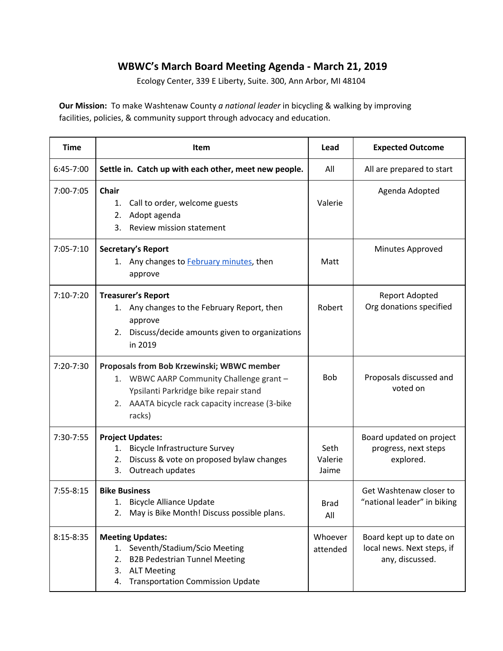## **WBWC's March Board Meeting Agenda - March 21, 2019**

Ecology Center, 339 E Liberty, Suite. 300, Ann Arbor, MI 48104

**Our Mission:** To make Washtenaw County *a national leader* in bicycling & walking by improving facilities, policies, & community support through advocacy and education.

| <b>Time</b>   | <b>Item</b>                                                                                                                                                                                         | Lead                     | <b>Expected Outcome</b>                                                   |
|---------------|-----------------------------------------------------------------------------------------------------------------------------------------------------------------------------------------------------|--------------------------|---------------------------------------------------------------------------|
| 6:45-7:00     | Settle in. Catch up with each other, meet new people.                                                                                                                                               | All                      | All are prepared to start                                                 |
| $7:00 - 7:05$ | <b>Chair</b><br>Call to order, welcome guests<br>1.<br>Adopt agenda<br>2.<br>Review mission statement<br>3.                                                                                         | Valerie                  | Agenda Adopted                                                            |
| $7:05 - 7:10$ | Secretary's Report<br>1. Any changes to <b>February minutes</b> , then<br>approve                                                                                                                   | Matt                     | Minutes Approved                                                          |
| $7:10-7:20$   | <b>Treasurer's Report</b><br>Any changes to the February Report, then<br>1.<br>approve<br>Discuss/decide amounts given to organizations<br>2.<br>in 2019                                            | Robert                   | Report Adopted<br>Org donations specified                                 |
| 7:20-7:30     | <b>Proposals from Bob Krzewinski; WBWC member</b><br>1. WBWC AARP Community Challenge grant -<br>Ypsilanti Parkridge bike repair stand<br>2. AAATA bicycle rack capacity increase (3-bike<br>racks) | <b>Bob</b>               | Proposals discussed and<br>voted on                                       |
| 7:30-7:55     | <b>Project Updates:</b><br><b>Bicycle Infrastructure Survey</b><br>1.<br>Discuss & vote on proposed bylaw changes<br>2.<br>Outreach updates<br>3.                                                   | Seth<br>Valerie<br>Jaime | Board updated on project<br>progress, next steps<br>explored.             |
| $7:55 - 8:15$ | <b>Bike Business</b><br>1. Bicycle Alliance Update<br>May is Bike Month! Discuss possible plans.<br>2.                                                                                              | <b>Brad</b><br>All       | Get Washtenaw closer to<br>"national leader" in biking                    |
| $8:15-8:35$   | <b>Meeting Updates:</b><br>Seventh/Stadium/Scio Meeting<br>1.<br><b>B2B Pedestrian Tunnel Meeting</b><br>2.<br>3.<br><b>ALT Meeting</b><br><b>Transportation Commission Update</b><br>4.            | Whoever<br>attended      | Board kept up to date on<br>local news. Next steps, if<br>any, discussed. |